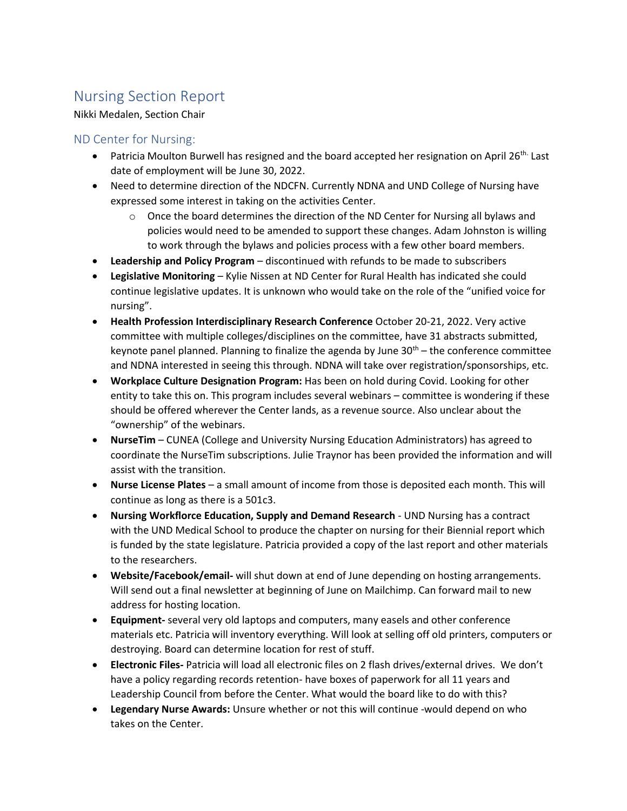## Nursing Section Report

Nikki Medalen, Section Chair

## ND Center for Nursing:

- Patricia Moulton Burwell has resigned and the board accepted her resignation on April 26<sup>th.</sup> Last date of employment will be June 30, 2022.
- Need to determine direction of the NDCFN. Currently NDNA and UND College of Nursing have expressed some interest in taking on the activities Center.
	- $\circ$  Once the board determines the direction of the ND Center for Nursing all bylaws and policies would need to be amended to support these changes. Adam Johnston is willing to work through the bylaws and policies process with a few other board members.
- **Leadership and Policy Program** discontinued with refunds to be made to subscribers
- **Legislative Monitoring**  Kylie Nissen at ND Center for Rural Health has indicated she could continue legislative updates. It is unknown who would take on the role of the "unified voice for nursing".
- **Health Profession Interdisciplinary Research Conference** October 20-21, 2022. Very active committee with multiple colleges/disciplines on the committee, have 31 abstracts submitted, keynote panel planned. Planning to finalize the agenda by June  $30<sup>th</sup>$  – the conference committee and NDNA interested in seeing this through. NDNA will take over registration/sponsorships, etc.
- **Workplace Culture Designation Program:** Has been on hold during Covid. Looking for other entity to take this on. This program includes several webinars – committee is wondering if these should be offered wherever the Center lands, as a revenue source. Also unclear about the "ownership" of the webinars.
- **NurseTim**  CUNEA (College and University Nursing Education Administrators) has agreed to coordinate the NurseTim subscriptions. Julie Traynor has been provided the information and will assist with the transition.
- **Nurse License Plates** a small amount of income from those is deposited each month. This will continue as long as there is a 501c3.
- **Nursing Workflorce Education, Supply and Demand Research**  UND Nursing has a contract with the UND Medical School to produce the chapter on nursing for their Biennial report which is funded by the state legislature. Patricia provided a copy of the last report and other materials to the researchers.
- **Website/Facebook/email-** will shut down at end of June depending on hosting arrangements. Will send out a final newsletter at beginning of June on Mailchimp. Can forward mail to new address for hosting location.
- **Equipment-** several very old laptops and computers, many easels and other conference materials etc. Patricia will inventory everything. Will look at selling off old printers, computers or destroying. Board can determine location for rest of stuff.
- **Electronic Files-** Patricia will load all electronic files on 2 flash drives/external drives. We don't have a policy regarding records retention- have boxes of paperwork for all 11 years and Leadership Council from before the Center. What would the board like to do with this?
- **Legendary Nurse Awards:** Unsure whether or not this will continue -would depend on who takes on the Center.